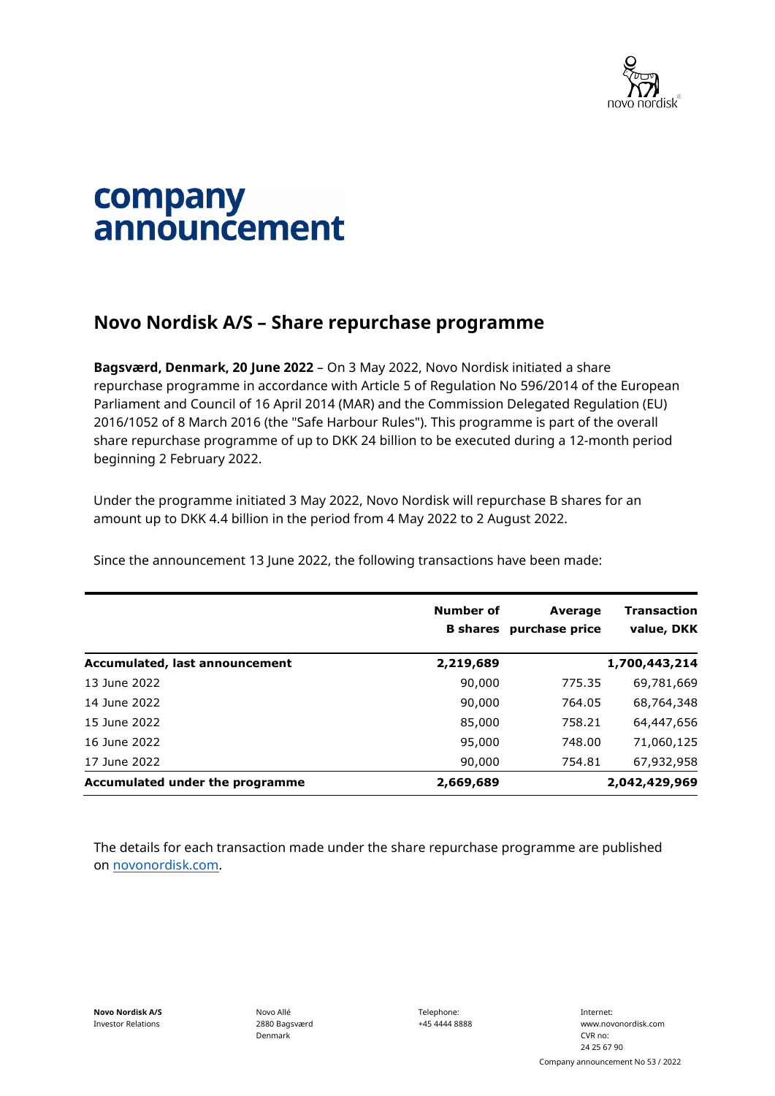

## company announcement

## **Novo Nordisk A/S – Share repurchase programme**

**Bagsværd, Denmark, 20 June 2022** – On 3 May 2022, Novo Nordisk initiated a share repurchase programme in accordance with Article 5 of Regulation No 596/2014 of the European Parliament and Council of 16 April 2014 (MAR) and the Commission Delegated Regulation (EU) 2016/1052 of 8 March 2016 (the "Safe Harbour Rules"). This programme is part of the overall share repurchase programme of up to DKK 24 billion to be executed during a 12-month period beginning 2 February 2022.

Under the programme initiated 3 May 2022, Novo Nordisk will repurchase B shares for an amount up to DKK 4.4 billion in the period from 4 May 2022 to 2 August 2022.

Since the announcement 13 June 2022, the following transactions have been made:

|                                 | Number of<br><b>B</b> shares | Average<br>purchase price | Transaction<br>value, DKK |
|---------------------------------|------------------------------|---------------------------|---------------------------|
| Accumulated, last announcement  | 2,219,689                    |                           | 1,700,443,214             |
| 13 June 2022                    | 90,000                       | 775.35                    | 69,781,669                |
| 14 June 2022                    | 90,000                       | 764.05                    | 68,764,348                |
| 15 June 2022                    | 85,000                       | 758.21                    | 64,447,656                |
| 16 June 2022                    | 95,000                       | 748.00                    | 71,060,125                |
| 17 June 2022                    | 90,000                       | 754.81                    | 67,932,958                |
| Accumulated under the programme | 2,669,689                    |                           | 2,042,429,969             |

The details for each transaction made under the share repurchase programme are published on [novonordisk.com.](https://www.novonordisk.com/news-and-media/news-and-ir-materials.html)

Novo Allé 2880 Bagsværd Denmark

Telephone: +45 4444 8888